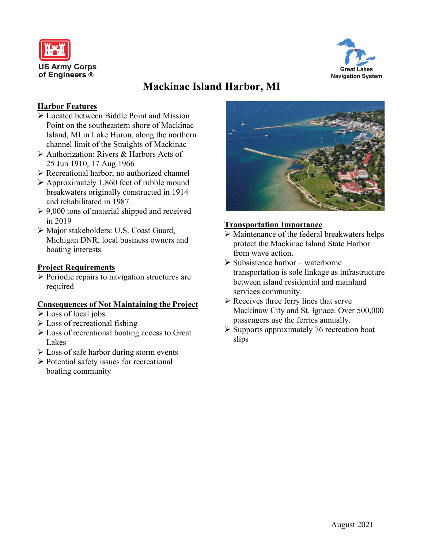



# **Mackinac Island Harbor, MI**

## **Harbor Features**

- Located between Biddle Point and Mission Point on the southeastern shore of Mackinac Island, MI in Lake Huron, along the northern channel limit of the Straights of Mackinac
- Authorization: Rivers & Harbors Acts of 25 Jun 1910, 17 Aug 1966
- Recreational harbor; no authorized channel
- Approximately 1,860 feet of rubble mound breakwaters originally constructed in 1914 and rehabilitated in 1987.
- $\geq 9,000$  tons of material shipped and received in 2019
- Major stakeholders: U.S. Coast Guard, Michigan DNR, local business owners and boating interests

## **Project Requirements**

 $\triangleright$  Periodic repairs to navigation structures are required

#### **Consequences of Not Maintaining the Project**

- Loss of local jobs
- $\triangleright$  Loss of recreational fishing
- $\triangleright$  Loss of recreational boating access to Great Lakes
- $\triangleright$  Loss of safe harbor during storm events
- $\triangleright$  Potential safety issues for recreational boating community



## **Transportation Importance**

- Maintenance of the federal breakwaters helps protect the Mackinac Island State Harbor from wave action.
- $\triangleright$  Subsistence harbor waterborne transportation is sole linkage as infrastructure between island residential and mainland services community.
- $\triangleright$  Receives three ferry lines that serve Mackinaw City and St. Ignace. Over 500,000 passengers use the ferries annually.
- $\triangleright$  Supports approximately 76 recreation boat slips